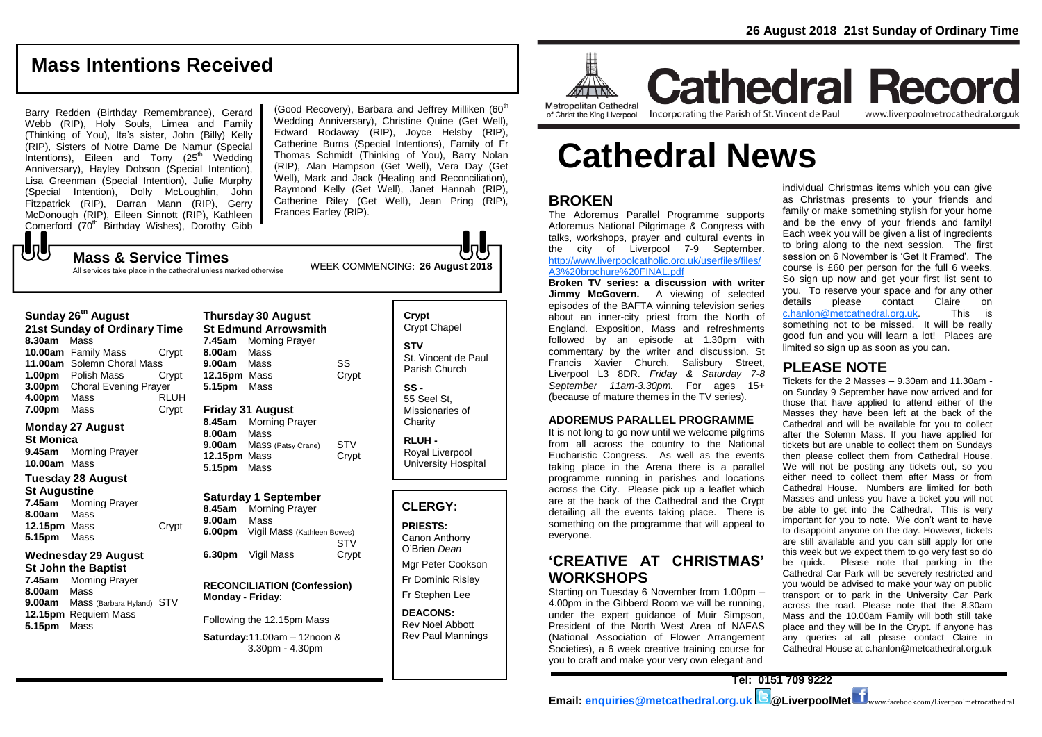# **Mass Intentions Received**

Barry Redden (Birthday Remembrance), Gerard Webb (RIP), Holy Souls, Limea and Family (Thinking of You), Ita's sister, John (Billy) Kelly (RIP), Sisters of Notre Dame De Namur (Special  $line{$ Anniversary), Hayley Dobson (Special Intention), Lisa Greenman (Special Intention), Julie Murphy (Special Intention), Dolly McLoughlin, John Fitzpatrick (RIP), Darran Mann (RIP), Gerry McDonough (RIP), Eileen Sinnott (RIP), Kathleen Comerford (70<sup>th</sup> Birthday Wishes), Dorothy Gibb  ${\bf J}$ 

(Good Recovery), Barbara and Jeffrey Milliken  $(60<sup>th</sup>)$ Wedding Anniversary), Christine Quine (Get Well), Edward Rodaway (RIP), Joyce Helsby (RIP), Catherine Burns (Special Intentions), Family of Fr Thomas Schmidt (Thinking of You), Barry Nolan (RIP), Alan Hampson (Get Well), Vera Day (Get Well), Mark and Jack (Healing and Reconciliation), Raymond Kelly (Get Well), Janet Hannah (RIP), Catherine Riley (Get Well), Jean Pring (RIP), Frances Earley (RIP).

WEEK COMMENCING: **26 August 2018 Mass & Service Times** All services take place in the cathedral unless marked otherwise

| Sunday 26 <sup>th</sup> August<br>21st Sunday of Ordinary Time<br>8.30am<br>Mass<br>10.00am Family Mass |                                                                                                                                                        |                      | <b>Thursday 30 August</b><br><b>St Edmund Arrowsmith</b><br>7.45am<br><b>Morning Prayer</b><br>Mass<br>8.00am |                                                                                                           |                     | Crypt<br>Crypt (<br><b>STV</b>         |
|---------------------------------------------------------------------------------------------------------|--------------------------------------------------------------------------------------------------------------------------------------------------------|----------------------|---------------------------------------------------------------------------------------------------------------|-----------------------------------------------------------------------------------------------------------|---------------------|----------------------------------------|
| 1.00 <sub>pm</sub>                                                                                      | 11.00am Solemn Choral Mass<br>Polish Mass<br>3.00pm Choral Evening Prayer                                                                              | Crypt<br>Crypt       | 9.00am<br>12.15pm Mass<br>5.15pm Mass                                                                         | Mass                                                                                                      | SS<br>Crypt         | St. Vin<br>Parish<br>SS -              |
| 4.00pm<br>7.00pm                                                                                        | Mass<br>Mass                                                                                                                                           | <b>RLUH</b><br>Crypt | 8.45am                                                                                                        | <b>Friday 31 August</b><br><b>Morning Prayer</b>                                                          |                     | 55 See<br>Missio<br>Charity            |
| <b>St Monica</b><br>9.45am<br>10.00am Mass                                                              | <b>Monday 27 August</b><br><b>Morning Prayer</b>                                                                                                       |                      | 8.00am<br>9.00am<br>12.15pm Mass<br>5.15pm                                                                    | Mass<br>Mass (Patsy Crane)<br>Mass                                                                        | <b>STV</b><br>Crypt | <b>RLUH</b><br>Royal<br>Univer         |
| <b>Tuesday 28 August</b>                                                                                |                                                                                                                                                        |                      |                                                                                                               |                                                                                                           |                     |                                        |
| <b>St Augustine</b><br>7.45am<br>8.00am<br>12.15pm Mass<br>5.15pm                                       | Morning Prayer<br>Mass<br>Mass                                                                                                                         | Crypt                | 8.45am<br>9.00am                                                                                              | <b>Saturday 1 September</b><br><b>Morning Prayer</b><br>Mass<br><b>6.00pm</b> Vigil Mass (Kathleen Bowes) | <b>STV</b>          | <b>CLER</b><br><b>PRIES</b><br>Canon   |
| 7.45am<br>8.00am                                                                                        | <b>Wednesday 29 August</b><br><b>St John the Baptist</b><br><b>Morning Prayer</b><br>Mass<br>Mass (Barbara Hyland) STV<br>12.15pm Requiem Mass<br>Mass |                      | Monday - Friday:                                                                                              | 6.30pm Vigil Mass<br><b>RECONCILIATION (Confession)</b>                                                   | Crypt               | O'Brier<br>Mgr Pe<br>Fr Dom<br>Fr Step |
| 9.00am<br>5.15pm                                                                                        |                                                                                                                                                        |                      | Following the 12.15pm Mass                                                                                    |                                                                                                           |                     | <b>DEACO</b><br><b>Rev No</b>          |
|                                                                                                         |                                                                                                                                                        |                      | Saturday: 11.00am - 12noon &<br>$3.30pm - 4.30pm$                                                             |                                                                                                           | Rev Pa              |                                        |
|                                                                                                         |                                                                                                                                                        |                      |                                                                                                               |                                                                                                           |                     |                                        |

Chapel cent de Paul Church  $sl St.$ naries of **Charity RLUH -** Liverpool sity Hospital **CLERGY: PRIESTS:** Anthony Dean eter Cookson hinic Risley bhen Lee **DNS:** 

bel Abbott aul Mannings



of Christ the King Liverpool

**Cathedral Record** Incorporating the Parish of St. Vincent de Paul www.liverpoolmetrocathedral.org.uk

# **Cathedral News**

## **BROKEN**

The Adoremus Parallel Programme supports Adoremus National Pilgrimage & Congress with talks, workshops, prayer and cultural events in the city of Liverpool 7-9 September. [http://www.liverpoolcatholic.org.uk/userfiles/files/](http://www.liverpoolcatholic.org.uk/userfiles/files/A3%20brochure%20FINAL.pdf) [A3%20brochure%20FINAL.pdf](http://www.liverpoolcatholic.org.uk/userfiles/files/A3%20brochure%20FINAL.pdf)

**Broken TV series: a discussion with writer Jimmy McGovern.** A viewing of selected episodes of the BAFTA winning television series about an inner-city priest from the North of England. Exposition, Mass and refreshments followed by an episode at 1.30pm with commentary by the writer and discussion. St Francis Xavier Church, Salisbury Street, Liverpool L3 8DR. *Friday & Saturday 7-8 September 11am-3.30pm.* For ages 15+ (because of mature themes in the TV series).

#### **ADOREMUS PARALLEL PROGRAMME**

It is not long to go now until we welcome pilgrims from all across the country to the National Eucharistic Congress. As well as the events taking place in the Arena there is a parallel programme running in parishes and locations across the City. Please pick up a leaflet which are at the back of the Cathedral and the Crypt detailing all the events taking place. There is something on the programme that will appeal to everyone.

# **'CREATIVE AT CHRISTMAS' WORKSHOPS**

Starting on Tuesday 6 November from 1.00pm – 4.00pm in the Gibberd Room we will be running, under the expert guidance of Muir Simpson, President of the North West Area of NAFAS (National Association of Flower Arrangement Societies), a 6 week creative training course for you to craft and make your very own elegant and

individual Christmas items which you can give as Christmas presents to your friends and family or make something stylish for your home and be the envy of your friends and family! Each week you will be given a list of ingredients to bring along to the next session. The first session on 6 November is 'Get It Framed'. The course is £60 per person for the full 6 weeks. So sign up now and get your first list sent to you. To reserve your space and for any other<br>details please contact Claire on details please contact [c.hanlon@metcathedral.org.uk.](mailto:c.hanlon@metcathedral.org.uk) This is something not to be missed. It will be really good fun and you will learn a lot! Places are limited so sign up as soon as you can.

#### **PLEASE NOTE**

Tickets for the 2 Masses – 9.30am and 11.30am on Sunday 9 September have now arrived and for those that have applied to attend either of the Masses they have been left at the back of the Cathedral and will be available for you to collect after the Solemn Mass. If you have applied for tickets but are unable to collect them on Sundays then please collect them from Cathedral House. We will not be posting any tickets out, so you either need to collect them after Mass or from Cathedral House. Numbers are limited for both Masses and unless you have a ticket you will not be able to get into the Cathedral. This is very important for you to note. We don't want to have to disappoint anyone on the day. However, tickets are still available and you can still apply for one this week but we expect them to go very fast so do be quick. Please note that parking in the Cathedral Car Park will be severely restricted and you would be advised to make your way on public transport or to park in the University Car Park across the road. Please note that the 8.30am Mass and the 10.00am Family will both still take place and they will be In the Crypt. If anyone has any queries at all please contact Claire in Cathedral House at c.hanlon@metcathedral.org.uk

**Tel: 0151 709 9222 Email: [enquiries@metcathedral.org.uk](mailto:enquiries@metcathedral.org.uk) @LiverpoolMet** www.facebook.com/Liverpoolmetrocathedral